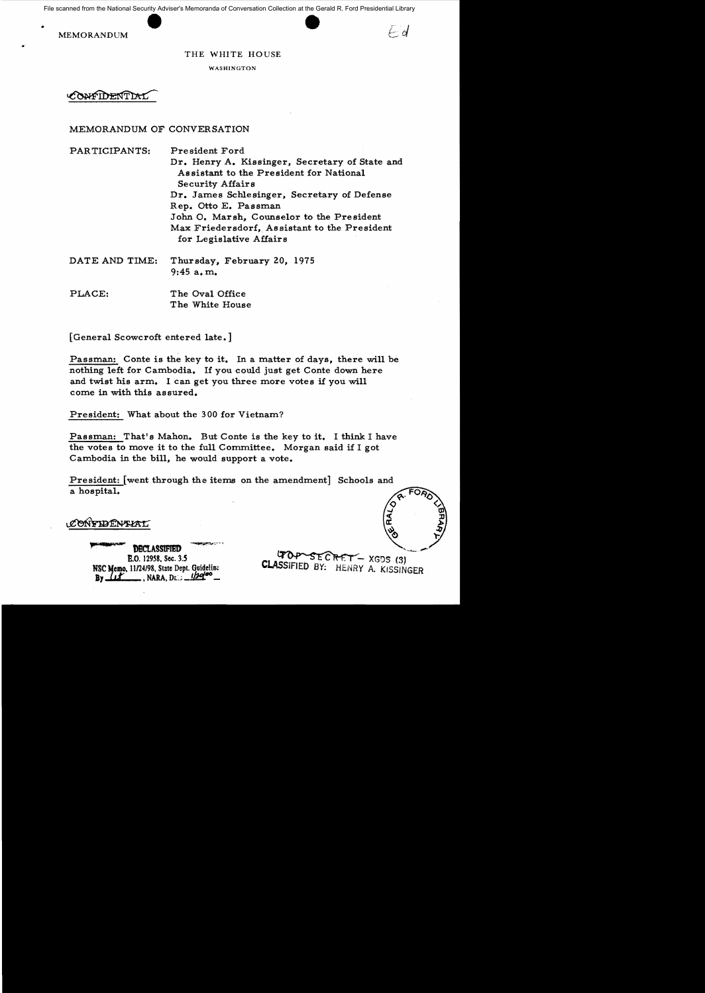File scanned from the National Security Adviser's Memoranda of Conversation Collection at the Gerald R. Ford Presidential Library

MEMORANDUM

.

#### THE WHITE HOUSE

WASHINGTON

**ONFIDENTIAL** 

### MEMORANDUM OF CONVERSATION

PARTICIPANTS: President Ford Dr. Henry A. Kissinger, Secretary of State and Assistant to the President for National Security Affairs Dr. James Schlesinger, Secretary of Defense Rep. Otto E. Passman John O. Marsh. Counselor to the President Max Friedersdorf, Assistant to the President for Legislative Affairs

- DATE AND TIME: Thursday, February 20, 1975 9:45 a. m.
- PLACE: The Oval Office The White House

[General Scowcroft entered late.]

Passman: Conte is the key to it. In a matter of days, there will be nothing left for Cambodia. If you could just get Conte down here and twist his arm. I can get you three more votes if you will come in with this assured.

President: What about the 300 for Vietnam?

Passman: That's Mahon. But Conte is the key to it. I think I have the votes to move it to the full Committee. Morgan said if I got Cambodia in the bill, he would support a vote.

President: [went through the items on the amendment] Schools and a hospital.

CONFIDENTIAL

**DECLASSIFIED** £.0, 12958, See. 3.5 NSC Memo. 11/24/98, State Dept. Guideline **By** <u>*<u>LLE</u>*, NARA, De *-1/20*<sup>00</sup> *\_*</u>

GRET - XGDS (3) **CLASSIFIED BY:** HENRY A. KISSINGER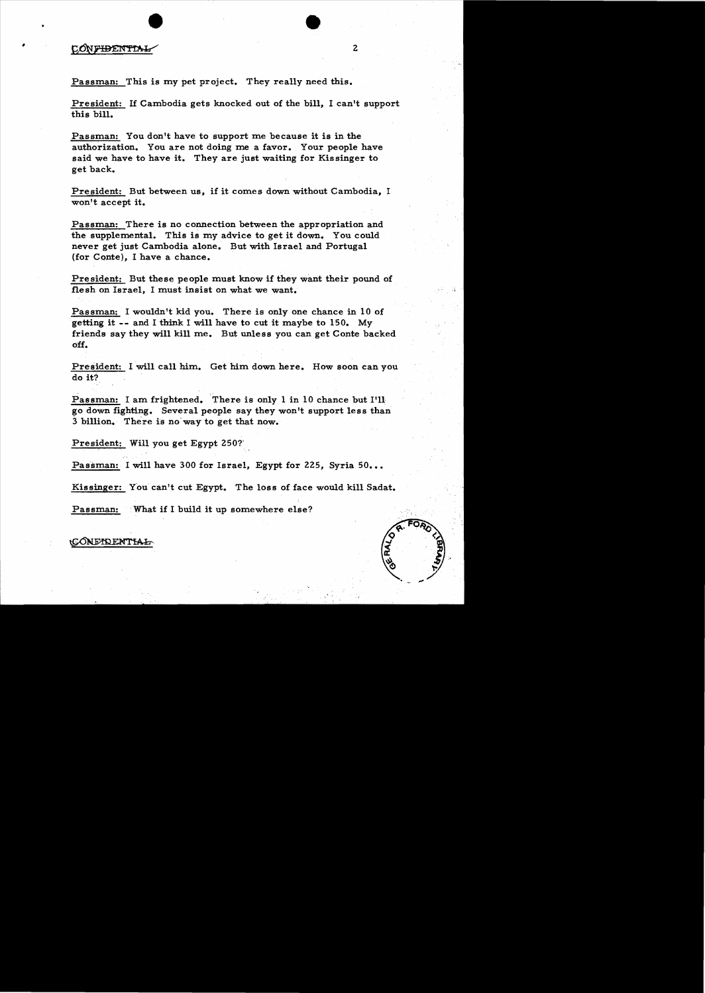### CONFIDENTIA

•

Passman: This is my pet project. They really need this.

President: If Cambodia gets knocked out of the bill, I can't support this bill.

Passman: You don't have to support me because it is in the authorization. You are not doing me a favor. Your people have said we have to have it. They are just waiting for Kissinger to get back.

President: But between us, if it comes down without Cambodia, I won't accept it.

Passman: There is no connection between the appropriation and the supplemental. This is my advice to get it down. You could never get just Cambodia alone. But with Israel and Portugal (for Conte), I have a chance.

President: But these people must know if they want their pound of flesh on Israel, I must insist on what we want.

Passman: I wouldn't kid you. There is only one chance in 10 of .getting it - - and I think I will have to cut it maybe to 15O. My friends say they will kill me. But unless you can get Conte backed off.

President: I will call him. Get him down here. How soon can you do it?

Passman: I am frightened. There is only 1 in 10 chance but I'll go down fighting. Several people say they won't support less than 3 billion. There is no' way to get that now. .

President: Will you get Egypt 250?'

Passman: I will have 300 for Israel, Egypt for 225, Syria 50...

Kissinger: You can't cut Egypt. The loss of face would kill Sadat.

Passman: What if I build it up somewhere else?

CONFIDENTIAL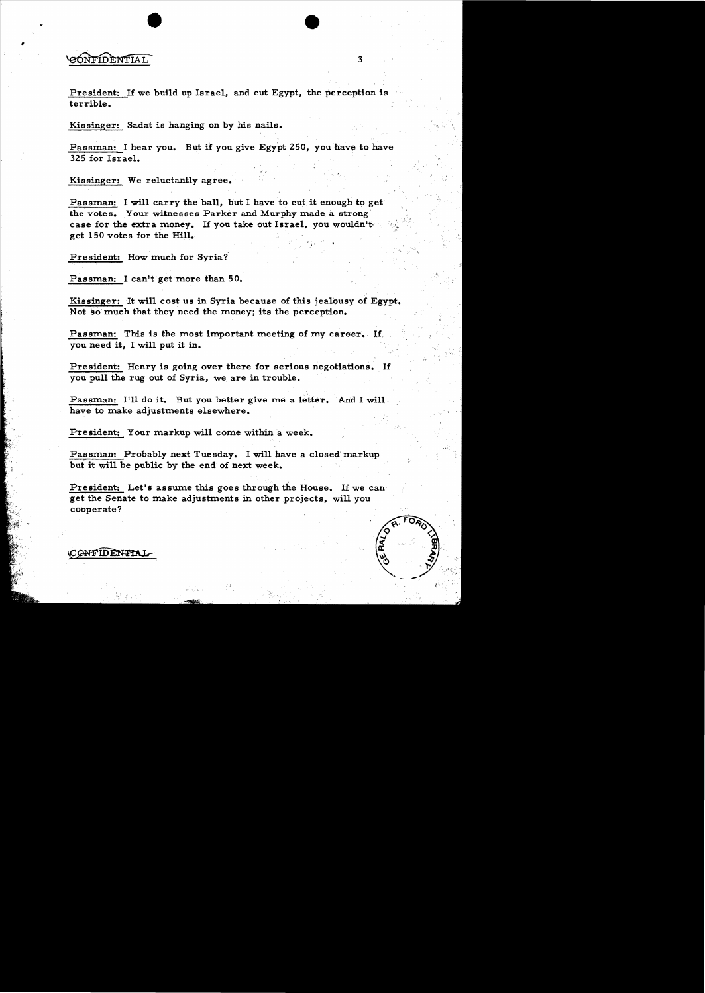## **GONFIDENTIAL**

President: If we build up Israel, and cut Egypt, the perception is terrible.

Kissinger: Sadat is hanging on by his nails.

Passman: I hear you. But if you give Egypt 250, you have to have 325 for Israel.

Kissinger: We reluctantly agree.

Passman: I will carry the ball, but I have to cut it enough to get the votes. Your witnesses Parker and Murphy made a strong case for the extra money. If you take out Israel, you wouldn'tget 150 votes for the Hill.

President: How much for Syria?

Passman: I can't get more than 50.

Kissinger: It will cost us in Syria because of this jealousy of Egypt. Not so much that they need the money; its the perception.

Passman: This is the most important meeting of my career. If you need it, I will put it in.

President: Henry is going over there for serious negotiations. If you pull the rug out of Syria, we are in trouble.

Passman: I'll do it. But you better give me a letter. And I will have to make adjustments elsewhere.

President: Your markup will come within a week.

Passman: Probably next Tuesday. I will have a closed markup but it will be public by the end of next week.

President: Let's assume this goes through the House. If we can get the Senate to make adjustments in other projects, will you cooperate?



**CONFIDENTIAL**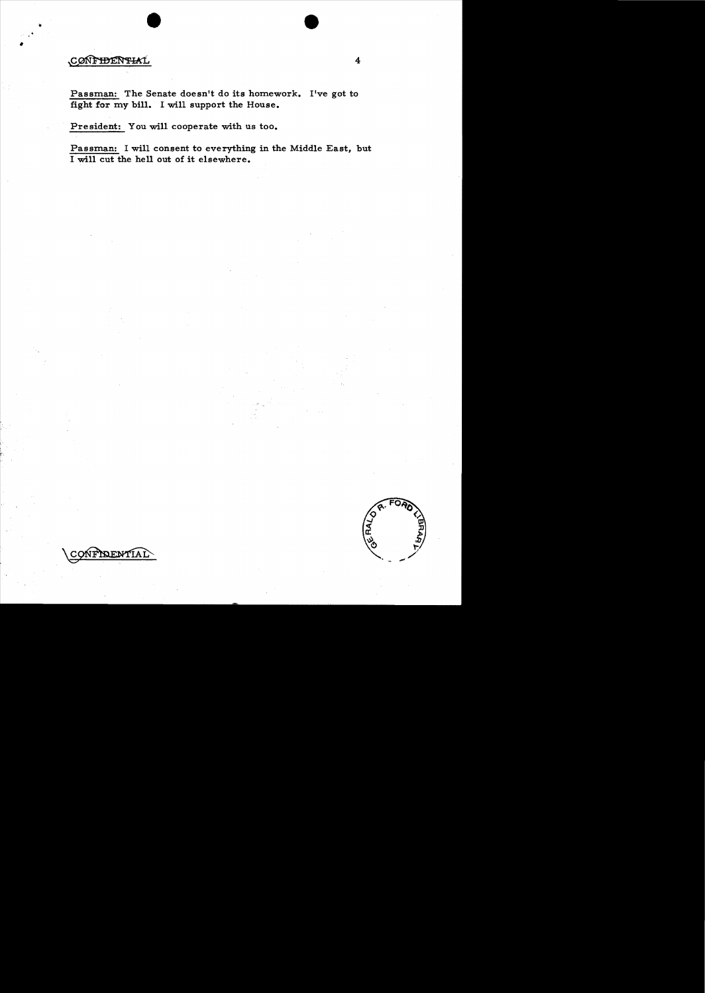# CONFIDENTIAL

Passman: The Senate doesn't do its homework. I've got to fight for my bill. I will support the House.

President: You will cooperate with us too.

Passman: I will consent to everything in the Middle East, but 1 will cut the hell out of it elsewhere.



**NOF NATI** CONF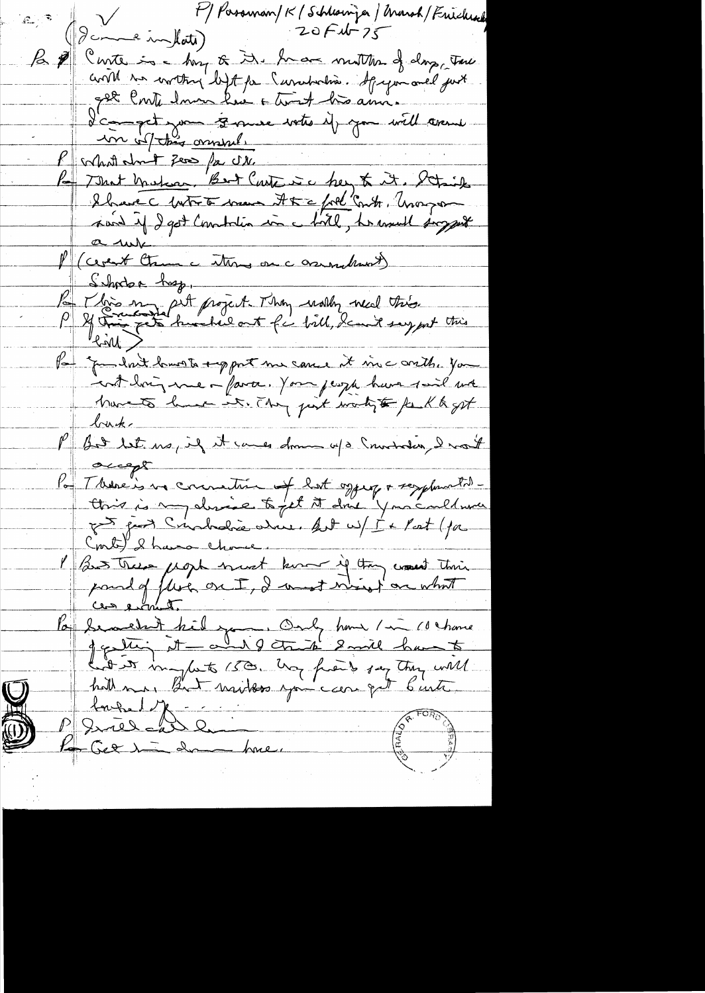F) Passeman/K / Schlainjer / March / Frichiach  $20$  $F$  $4-75$ Icome inflate) B d'Ourte in huy & D. have motten of day, tour 22 Conti domne hui a territ his année. P colart des omsuls le That Makas, Bart Carte à chez tr it. Detint le met tranc étre communité Par Vivo en préferent. They work need this Par que dont lavoir emport me cause et vie conthe you bruk. P Bd bet us, if it causes down up Soundary I want accept Par There is no commution of lot oggery + resplanation Conte) & have chose. l'as tres mort hunt des is tout this la beauchet hil you. Only home / in 10 chance hit is influte 150. Ung froid say they will  $\bigcup$ Briel Gribon **Community**  $\bigoplus$ Ko Get in donne have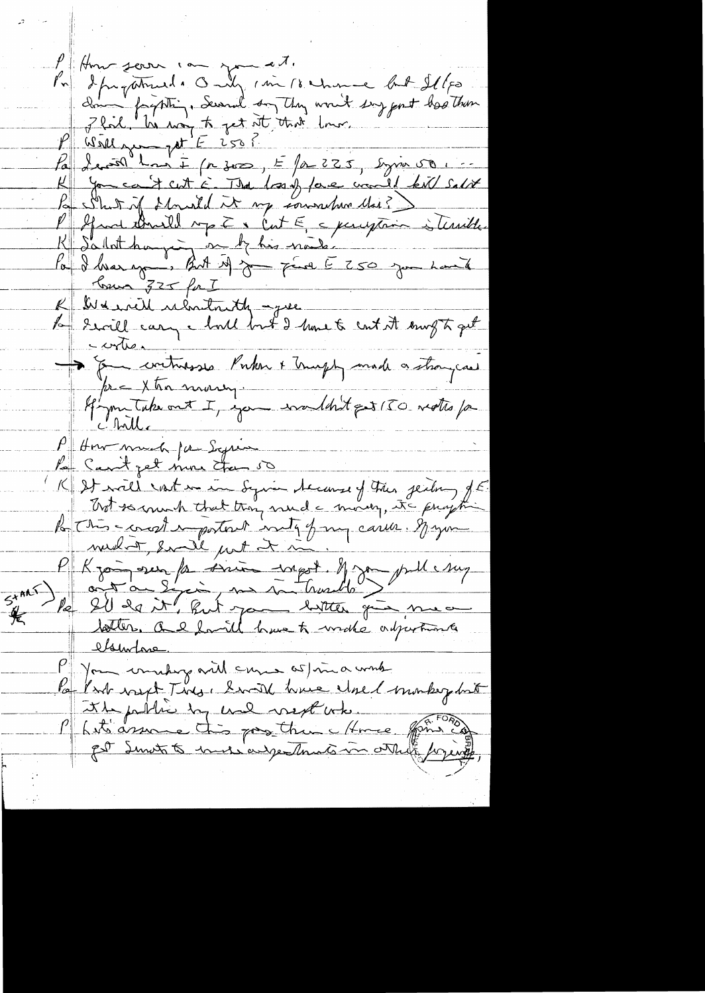P Home some in the cash of the summer but Illes<br>In Sprachunde Only can be showed by port besthem<br>2 fail la way to get at that low.<br>P Well you get E 250?<br>To Switch the set in The loss of love would lead selver<br>In Switch Mon P Spaal that de ville septembre de la formation à terrible K Salat haying on be his nais la déliver your But it jours par le 250 juin 1004 K Det init uloritantly - que<br>la Saville cary choril bout I have to cont it soung to get > & contrasses Porker + Trugh and a strangeast pre Xtra marry. Hymntakeout I, you wouldn't get 150 motto for P How much for Syres Pa Carit get more than 50 K It vill votre in Syria tecanse of the jeiling of E.<br>Trot somme that they mude moving, its program la This-construction de la fine carrer Major P Kjørger for sine wegot og publishing  $5+x+1$  $\frac{1}{\sqrt{2}}$ lsuntone Jon comedag aville cure as me a work Par Part visit Ting, Swith have closed monkey but the public by und next when form co Matsassure this pagethine Home get Smot to under adjectments in others forging,